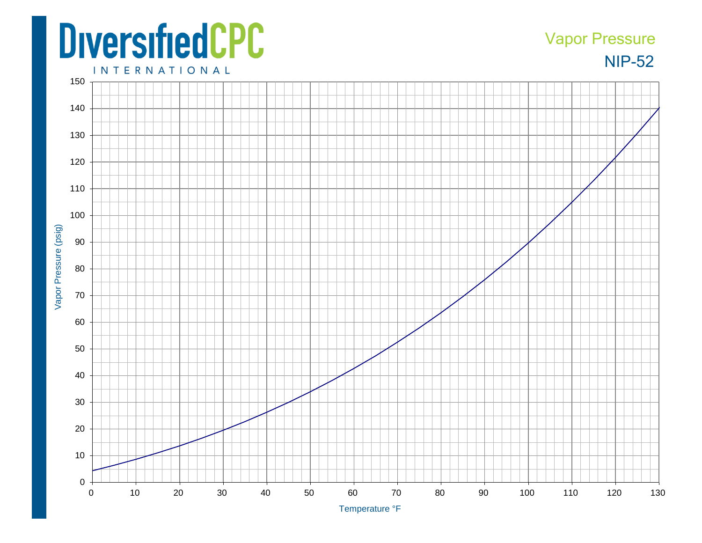## **DiversifiedCPC**

## NIP-52 Vapor Pressure

**INTERNATIONAL**